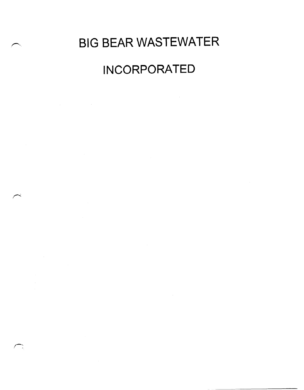# BIG BEAR WASTEWATER

# INCORPORATED

∼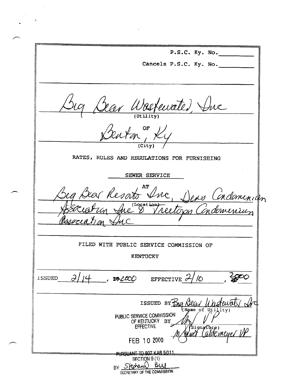P.S.C. Ky. No. Cancels P.S.C. Ky. No. Bear Wastewater, Suc RATES, RULES AND REGULATIONS FOR FURNISHING SEWER SERVICE zer Resato & no Condominion FILED WITH PUBLIC SERVICE COMMISSION OF **KENTUCKY**  $\partial$  $14$ **ISSUED** , relac  $\sqrt{O}$ EFFECTIVE  $\sigma$ ISSUED BY BIG Dear (Name of Utility) PUBLIC SERVICE COMMISSION OF KENTUCKY BY gnacture)<br>(aldemeyer FEB 10 2000 PURSUANT TO 807 KAR 5011 SECTION 9 (1) BY: Stephand Bill SECRETARY OF THE COMMISSION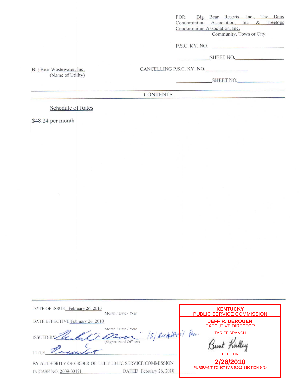Big Bear Resorts, Inc., The Dens **FOR** Condominium Association, Inc. & Treetops Condominium Association, Inc.

Community, Town or City

 $P.S.C.$  KY. NO.  $\qquad \qquad$ 

SHEET NO.

CANCELLING P.S.C. KY. NO.

SHEET NO.

**CONTENTS** 

**Schedule of Rates** 

\$48.24 per month

Big Bear Wastewater, Inc.

(Name of Utility)

| DATE OF ISSUE February 26, 2010<br>Month / Date / Year                                                      | <b>KENTUCKY</b><br>PUBLIC SERVICE COMMISSION         |
|-------------------------------------------------------------------------------------------------------------|------------------------------------------------------|
| DATE EFFECTIVE February 26, 2010<br>Date / Year<br>Month /                                                  | <b>JEFF R. DEROUEN</b><br><b>EXECUTIVE DIRECTOR</b>  |
| 15, RichalMeri<br><b>ISSUED BY</b><br>(Signature of Officer)                                                | thes.<br><b>TARIFF BRANCH</b>                        |
|                                                                                                             | <b>EFFECTIVE</b>                                     |
| BY AUTHORITY OF ORDER OF THE PUBLIC SERVICE COMMISSION<br>DATED February 26, 2010<br>IN CASE NO. 2009-00171 | 2/26/2010<br>PURSUANT TO 807 KAR 5:011 SECTION 9 (1) |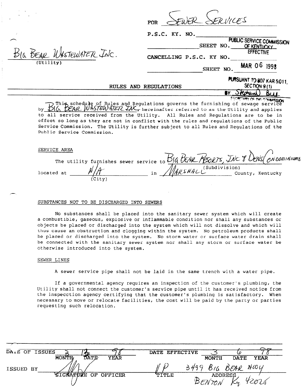| טו זייו | $\mathbf{r}$ is $\mathbf{r}$ | <b>XFRVICES</b> |
|---------|------------------------------|-----------------|

|           | PUBLIC SERVICE COMMISSION                  |
|-----------|--------------------------------------------|
| SHEET NO. | OF KENTUCKY                                |
|           | <b>EFFECTIVE</b>                           |
|           |                                            |
| SHEET NO. | <b>MAR 06 1998</b>                         |
|           | P.S.C. KY. NO.<br>CANCELLING P.S.C. KY NO. |

RULES AND REGULATIONS

BY Stedrand)

PURSUANT TO 807 KAR 5:011. SECTION 9(1)

governs the furnishing of sewage service<br>This schedule of Rules and Regulations governs the furnishing of sewage service by  $\frac{1}{6}$  CRAP WASTEWATER INC, hereinafter referred to as the Utility and applies to all service received from the Utility. All Rules and Regulations are to be in effect so long as they are not in conflict with the rules and regulations of the Public Service Commission. The Utility is further subject to all Rules and Regulations of the Public Service Commission.

#### SERVICE AREA

 $\mathbf{r} = \mathbf{r}$ 

|            |        |    |                           | The utility furnishes sewer service to BIG BEAR PESORTS, INC 8 DENS ON DOMINIUM |
|------------|--------|----|---------------------------|---------------------------------------------------------------------------------|
| located at | (Citv) | in | (Subdivision)<br>WARSHALL | County, Kentucky                                                                |

#### SUBSTANCES NOT TO BE DISCHARGED INTO SEWERS

TEWATER INC.

No substances shall be placed into the sanitary sewer system which will create a combustible, gaseous, explosive or inflammable condition nor shall any substances or objects be placed or discharged into the system which will not dissolve and which will thus cause an obstruction and clogging within the system. No petroleum products shall be placed or discharged into the system. No storm water or surface water drain shall be connected with the sanitary sewer system nor shall any storm or surface water be otherwise introduced into the system.

#### SEWER LINES

A sewer service pipe shall not be laid in the same trench with a water pipe.

If a governmental agency requires an inspection of the customer's plumbing, the Utility shall not connect the customer's service pipe until it has received notice from the inspecction agency certifying that the customer's plumbing is satisfactory. When necessary to move or relocate facilities, the cost will be paid by the party or parties requesting such relocation.

| DALE OF ISSUES |                                     | DATE EFFECTIVE |              |                                    | ∩~          |
|----------------|-------------------------------------|----------------|--------------|------------------------------------|-------------|
| ISSUED BY      | DATE<br><b>MONTH</b><br><b>YEAR</b> |                | <b>MONTH</b> | <b>DATE</b><br>$3499$ BIG BEAR HWY | <b>YEAR</b> |
|                | SIGNATURE OF OFFICER                | <b>TITLE</b>   |              | <b>ADDRESS</b>                     |             |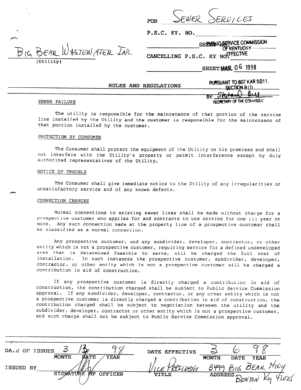

|  | P.S.C. |  |  |  |  |  | KY. | NO. |  |
|--|--------|--|--|--|--|--|-----|-----|--|
|--|--------|--|--|--|--|--|-----|-----|--|

SHE ENGLIGGSERVICE COMMISSION ASTEN ATER INC CANCELLING P.S.C. KY NOFFFECTIVE

SHEET MAR 06 1998

RULES AND REGULATIONS

| PURSUANT TO 807 KAR 5.011.<br>SECTION 9(1) |             |
|--------------------------------------------|-------------|
| Stedam<br>ÞΥ.                              | <b>B.LE</b> |

SEWER FAILURE

(Util

SECRETARY OF THE COMMISSIC

OF KENTUCKY

The utility is responsible for the maintenance of that portion of the service line installed by the Utility and the customer is responsible for the maintenance of that portion installed by the customer.

# PROTECTION BY CONSUMER

The Consumer shall protect the equipment of the Utility on his premises and shall not interfere with the Utility's property or permit interference except by duly authorized representatives of the utility.

#### NOTICE OF TROUBLE

The Consumer shall give immediate notice to the Utility of any irregularities or unsatisfactory service and of any known defects.

#### CONNECTION CHARGES

Normal connections to existing sewer lines shall be made without charge for a prospective customer who applies for and contracts to use service for one (1) year or more. Any such connection made at the property line of a prospective customer shall be classified as a normal connection.

Any prospective customer, and any subdivider, developer, contractor, or other entity which is not a prospective customer, requiring service for a defined undeveloped area that is determined feasible to serve, will be charged the full cost of installation. In such instances the prospective customer, subdivider, developer, contractor, or other entity which is not a prospective customer will be charged a contribution in aid of construction.

If any prospective customer is directly charged a contribution in aid of construction, the contribution charged shall be subject to Public Service Commission approval. If any subdivider, developer, contractor, or any other entity which is not a prospective customer is directly charged a contribution in aid of construction, the contribution charged shall be subject to negotiation between the utility and the subdivider, developer, contractor or other entity which is not a prospective customer, and such charge shall not be subject to Public Service Commission approval.

|           | DALE OF ISSUES |              |      |             | DATE EFFECTIVE |                    |                      |             |                     |                    |
|-----------|----------------|--------------|------|-------------|----------------|--------------------|----------------------|-------------|---------------------|--------------------|
|           |                | <b>MONTH</b> | ØATE | <b>YEAR</b> |                |                    | <b>MONTH</b>         | <b>DATE</b> | <b>YEAR</b>         |                    |
| ISSUED BY |                |              |      |             |                | ' <del>DBN\v</del> | 3499                 |             | BIG BEAR.           | $\forall$ i $\cup$ |
|           |                | SIGNATURE    | ঙ্গল | OFFICER     | TITLE          |                    | ADDRESS $\leftarrow$ |             |                     |                    |
|           |                |              |      |             |                |                    |                      |             | Ки<br><b>BENTON</b> | 42025              |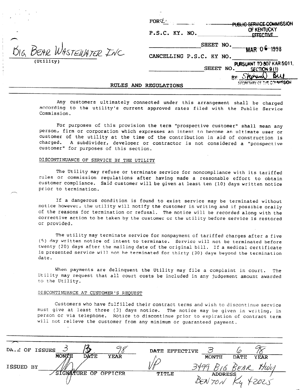|           | BIG BEAR WASTEMATER INC. |  |
|-----------|--------------------------|--|
| (Utility) |                          |  |

.

|                            | FORC                     | DUBLIC SERVICE COMMISSION                                          |
|----------------------------|--------------------------|--------------------------------------------------------------------|
|                            | P.S.C. KY. NO.           | OF KENTUCKY<br><b>FFFFCTIVF</b>                                    |
|                            |                          | SHEET NO.<br>1998                                                  |
| $\mathcal{L}(\mathcal{C})$ | CANCELLING P.S.C. KY NO. |                                                                    |
|                            |                          | PURSUANT TO 807 KAR 5:011,<br><b>SHEET</b><br>NO.<br>SECTION 9 (1) |
|                            |                          |                                                                    |
| <b>RULES</b>               | AND REGULATIONS          | SECRETARY OF THE COMMISSION                                        |

Any customers ultimately connected under this arrangement shall be charged according to the utility's current approved rates filed with the Public Service Commission.

For purposes of this provision the term "prospective customer" shall mean any person, firm or corporation which expresses an intent to become an ultimate user or customer of the utility at the time of the contribution in aid of construction is charged. A subdivider, developer or contractor is not considered a "prospective customer" for purposes of this section.

# DISCONTINUANCE OF SERVICE BY THE UTILITY

The Utility may refuse or terminate service for noncompliance with its tariffed rules or commission regulations after having made a reasonable effort to obtain customer compliance. Said customer will be given at least ten (10) days written notice prior to termination.

If a dangerous condition is found to exist service may be terminated without notice however, the utility will notify the customer in writing and if possible orally of the reasons for termination or refusal. The notice will be recorded along with the corrective action to be taken by the customer or the utility before service is restored or provided.

The utility may terminate service for nonpayment of tariffed charges after a five (5) day written notice of intent to terminate. Service will not be terminated before twenty (20) days after the mailing date of the original bill. If a medical certificate is presented service will not be terminated for thirty (30) days beyond the termination date.

When payments are delinquent the Utility may file a complaint in court. The Utility may request that all court costs be included in any judgement amount awarded to the Utility.

# DISCONTINUANCE AT CUSTOMER'S REQUEST

Customers who have fulfilled their contract terms and wish to discontinue service must give at least three (3) days notice. The notice may be given in writing, in person or via telephone. Notice to discontinue prior to expiration of contract term will not relieve the customer from any minimum or guaranteed payment.

| رے<br>DA. C OF ISSUES                      | DATE EFFECTIVE                      |
|--------------------------------------------|-------------------------------------|
| <b>MONTH</b><br><b>DATE</b><br><b>YEAR</b> | MONTH<br><b>DATE</b><br><b>YEAR</b> |
| ISSUED BY                                  | Zdag<br>Hwy<br>$v_{FAR}$            |
| /SIGNATURE OF OFFICER                      | TITLE<br><b>ADDRESS</b>             |
|                                            |                                     |